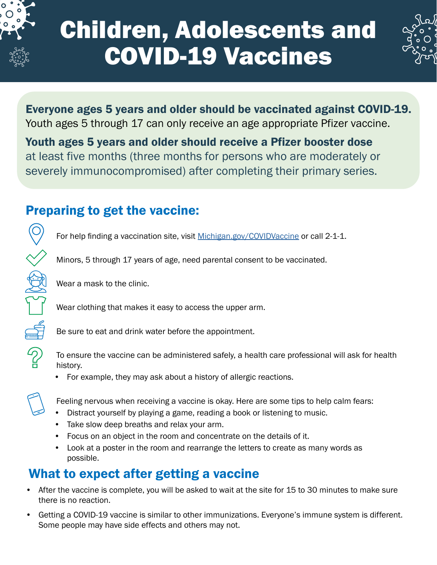

 $\mathcal{D}$ 

# Children, Adolescents and COVID-19 Vaccines



Everyone ages 5 years and older should be vaccinated against COVID-19. Youth ages 5 through 17 can only receive an age appropriate Pfizer vaccine.

Youth ages 5 years and older should receive a Pfizer booster dose at least five months (three months for persons who are moderately or severely immunocompromised) after completing their primary series.

## Preparing to get the vaccine:

For help finding a vaccination site, visit [Michigan.gov/COVIDVaccine](http://Michigan.gov/COVIDVaccine) or call 2-1-1.

Minors, 5 through 17 years of age, need parental consent to be vaccinated.

Wear a mask to the clinic.

Wear clothing that makes it easy to access the upper arm.

Be sure to eat and drink water before the appointment.

To ensure the vaccine can be administered safely, a health care professional will ask for health history.

• For example, they may ask about a history of allergic reactions.

Feeling nervous when receiving a vaccine is okay. Here are some tips to help calm fears:

- Distract yourself by playing a game, reading a book or listening to music.
- Take slow deep breaths and relax your arm.
- Focus on an object in the room and concentrate on the details of it.
- Look at a poster in the room and rearrange the letters to create as many words as possible.

## What to expect after getting a vaccine

- After the vaccine is complete, you will be asked to wait at the site for 15 to 30 minutes to make sure there is no reaction.
- Getting a COVID-19 vaccine is similar to other immunizations. Everyone's immune system is different. Some people may have side effects and others may not.